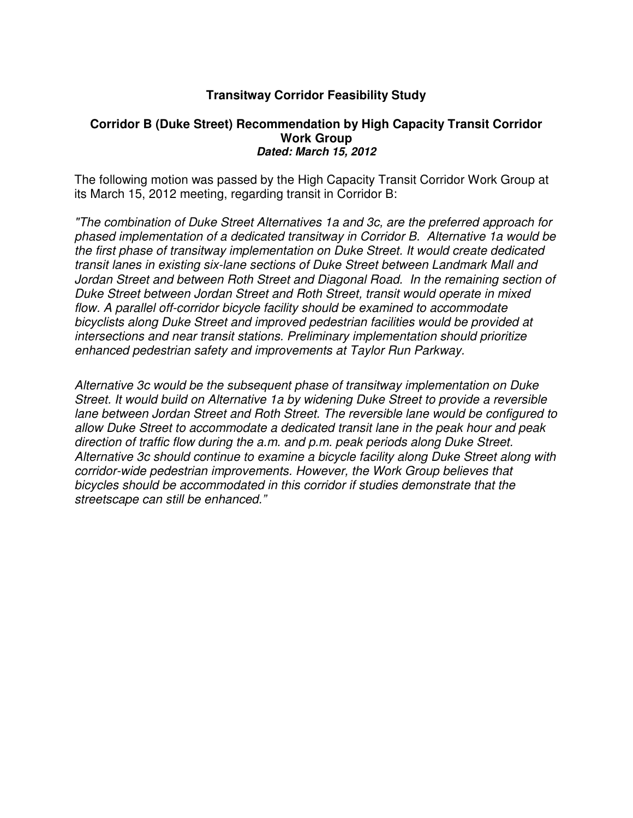## **Transitway Corridor Feasibility Study**

#### **Corridor B (Duke Street) Recommendation by High Capacity Transit Corridor Work Group Dated: March 15, 2012**

The following motion was passed by the High Capacity Transit Corridor Work Group at its March 15, 2012 meeting, regarding transit in Corridor B:

"The combination of Duke Street Alternatives 1a and 3c, are the preferred approach for phased implementation of a dedicated transitway in Corridor B. Alternative 1a would be the first phase of transitway implementation on Duke Street. It would create dedicated transit lanes in existing six-lane sections of Duke Street between Landmark Mall and Jordan Street and between Roth Street and Diagonal Road. In the remaining section of Duke Street between Jordan Street and Roth Street, transit would operate in mixed flow. A parallel off-corridor bicycle facility should be examined to accommodate bicyclists along Duke Street and improved pedestrian facilities would be provided at intersections and near transit stations. Preliminary implementation should prioritize enhanced pedestrian safety and improvements at Taylor Run Parkway.

Alternative 3c would be the subsequent phase of transitway implementation on Duke Street. It would build on Alternative 1a by widening Duke Street to provide a reversible lane between Jordan Street and Roth Street. The reversible lane would be configured to allow Duke Street to accommodate a dedicated transit lane in the peak hour and peak direction of traffic flow during the a.m. and p.m. peak periods along Duke Street. Alternative 3c should continue to examine a bicycle facility along Duke Street along with corridor-wide pedestrian improvements. However, the Work Group believes that bicycles should be accommodated in this corridor if studies demonstrate that the streetscape can still be enhanced."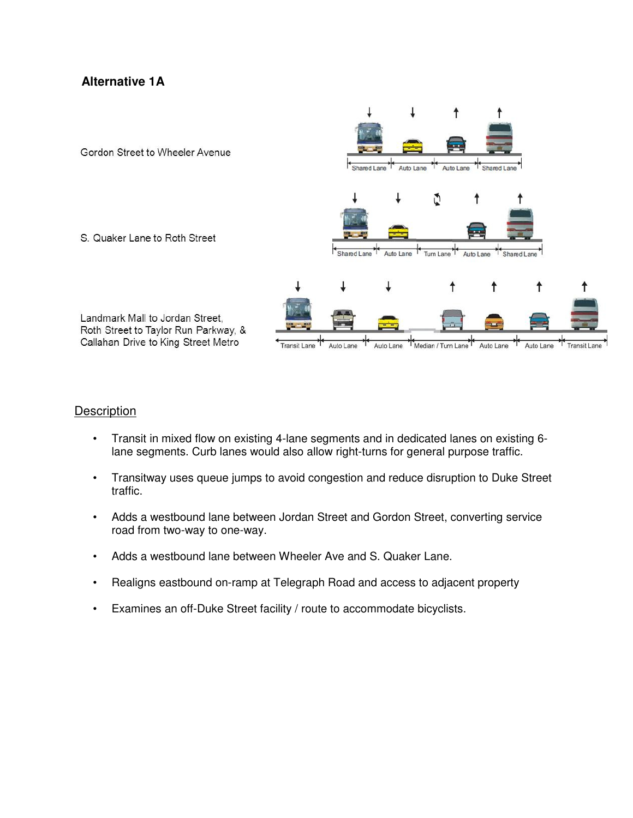## **Alternative 1A**



#### **Description**

- Transit in mixed flow on existing 4-lane segments and in dedicated lanes on existing 6 lane segments. Curb lanes would also allow right-turns for general purpose traffic.
- Transitway uses queue jumps to avoid congestion and reduce disruption to Duke Street traffic.
- Adds a westbound lane between Jordan Street and Gordon Street, converting service road from two-way to one-way.
- Adds a westbound lane between Wheeler Ave and S. Quaker Lane.
- Realigns eastbound on-ramp at Telegraph Road and access to adjacent property
- Examines an off-Duke Street facility / route to accommodate bicyclists.